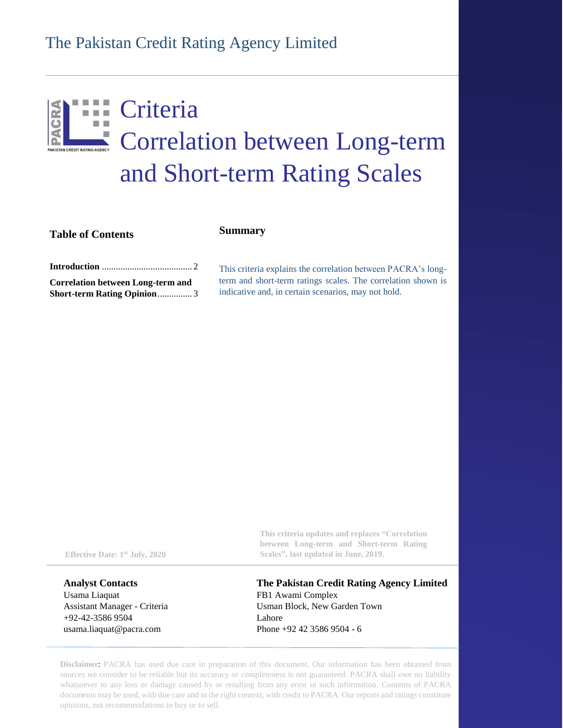# The Pakistan Credit Rating Agency Limited

## Criteria  $\overline{\phantom{a}}$ Correlation between Long-term and Short-term Rating Scales

**Table of Contents**

### **Summary**

**Introduction** [.......................................](#page-1-0) 2

**[Correlation between Long-term and](#page-2-0)  [Short-term Rating Opinion](#page-2-0)**............... 3 This criteria explains the correlation between PACRA's longterm and short-term ratings scales. The correlation shown is indicative and, in certain scenarios, may not hold.

**Analyst Contacts** Usama Liaquat Assistant Manager - Criteria +92-42-3586 9504 [usama.liaquat@pacra.com](mailto:Abc.def@pacra.com)

**This criteria updates and replaces "Correlation between Long-term and Short-term Rating Effective Date: 1<sup>st</sup> July, 2020 Scales", last updated in June, 2019.** 

> **The Pakistan Credit Rating Agency Limited** FB1 Awami Complex Usman Block, New Garden Town Lahore Phone +92 42 3586 9504 - 6

**Disclaimer**: PACRA has used due care in preparation of this document. Our information has been obtained from sources we consider to be reliable but its accuracy or completeness is not guaranteed. PACRA shall owe no liability whatsoever to any loss or damage caused by or resulting from any error in such information. Contents of PACRA documents may be used, with due care and in the right context, with credit to PACRA. Our reports and ratings constitute opinions, not recommendations to buy or to sell.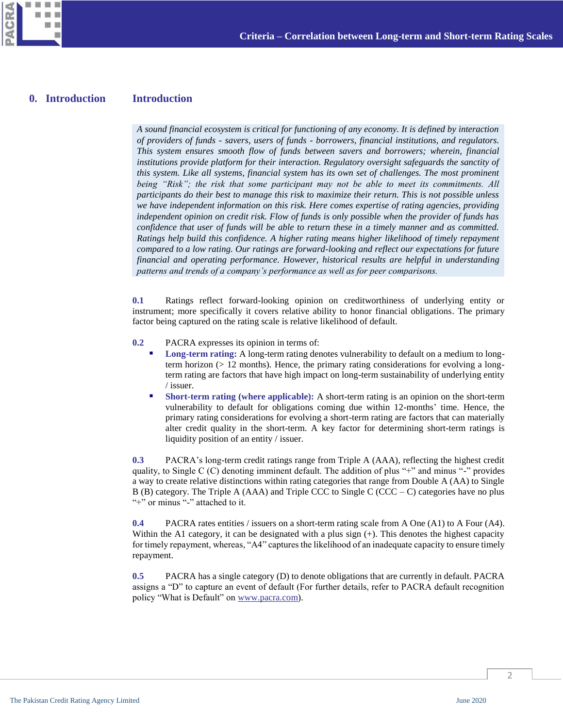

#### **Introduction 0. Introduction**

<span id="page-1-0"></span>*A sound financial ecosystem is critical for functioning of any economy. It is defined by interaction of providers of funds - savers, users of funds - borrowers, financial institutions, and regulators. This system ensures smooth flow of funds between savers and borrowers; wherein, financial institutions provide platform for their interaction. Regulatory oversight safeguards the sanctity of this system. Like all systems, financial system has its own set of challenges. The most prominent being "Risk"; the risk that some participant may not be able to meet its commitments. All participants do their best to manage this risk to maximize their return. This is not possible unless we have independent information on this risk. Here comes expertise of rating agencies, providing independent opinion on credit risk. Flow of funds is only possible when the provider of funds has confidence that user of funds will be able to return these in a timely manner and as committed. Ratings help build this confidence. A higher rating means higher likelihood of timely repayment compared to a low rating. Our ratings are forward-looking and reflect our expectations for future financial and operating performance. However, historical results are helpful in understanding patterns and trends of a company's performance as well as for peer comparisons.*

**0.1** Ratings reflect forward-looking opinion on creditworthiness of underlying entity or instrument; more specifically it covers relative ability to honor financial obligations. The primary factor being captured on the rating scale is relative likelihood of default.

- **0.2** PACRA expresses its opinion in terms of:
	- **Long-term rating:** A long-term rating denotes vulnerability to default on a medium to longterm horizon (> 12 months). Hence, the primary rating considerations for evolving a longterm rating are factors that have high impact on long-term sustainability of underlying entity / issuer.
	- **Short-term rating (where applicable):** A short-term rating is an opinion on the short-term vulnerability to default for obligations coming due within 12-months' time. Hence, the primary rating considerations for evolving a short-term rating are factors that can materially alter credit quality in the short-term. A key factor for determining short-term ratings is liquidity position of an entity / issuer.

**0.3** PACRA's long-term credit ratings range from Triple A (AAA), reflecting the highest credit quality, to Single C (C) denoting imminent default. The addition of plus "+" and minus "-" provides a way to create relative distinctions within rating categories that range from Double A (AA) to Single B (B) category. The Triple A (AAA) and Triple CCC to Single C (CCC – C) categories have no plus "<sup>+"</sup> or minus "-" attached to it.

**0.4** PACRA rates entities / issuers on a short-term rating scale from A One (A1) to A Four (A4). Within the A1 category, it can be designated with a plus sign  $(+)$ . This denotes the highest capacity for timely repayment, whereas, "A4" captures the likelihood of an inadequate capacity to ensure timely repayment.

**0.5** PACRA has a single category (D) to denote obligations that are currently in default. PACRA assigns a "D" to capture an event of default (For further details, refer to PACRA default recognition policy "What is Default" on [www.pacra.com\)](http://www.pacra.com/).